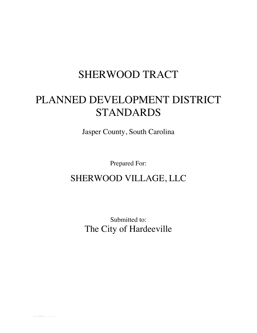# SHERWOOD TRACT

# PLANNED DEVELOPMENT DISTRICT STANDARDS

Jasper County, South Carolina

Prepared For:

# SHERWOOD VILLAGE, LLC

Submitted to: The City of Hardeeville

BLUFFTON-#431613-v6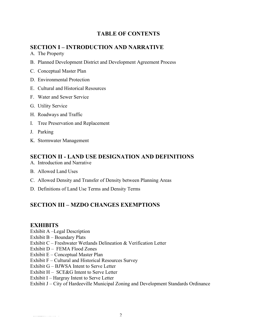### **TABLE OF CONTENTS**

### **SECTION I – INTRODUCTION AND NARRATIVE**

- A. The Property
- B. Planned Development District and Development Agreement Process
- C. Conceptual Master Plan
- D. Environmental Protection
- E. Cultural and Historical Resources
- F. Water and Sewer Service
- G. Utility Service
- H. Roadways and Traffic
- I. Tree Preservation and Replacement
- J. Parking
- K. Stormwater Management

### **SECTION II - LAND USE DESIGNATION AND DEFINITIONS**

- A. Introduction and Narrative
- B. Allowed Land Uses
- C. Allowed Density and Transfer of Density between Planning Areas
- D. Definitions of Land Use Terms and Density Terms

### **SECTION III – MZDO CHANGES EXEMPTIONS**

### **EXHIBITS**

- Exhibit A –Legal Description
- Exhibit B Boundary Plats
- Exhibit C Freshwater Wetlands Delineation & Verification Letter
- Exhibit D FEMA Flood Zones
- Exhibit E Conceptual Master Plan
- Exhibit F Cultural and Historical Resources Survey
- Exhibit G BJWSA Intent to Serve Letter
- Exhibit H SCE&G Intent to Serve Letter
- Exhibit I Hargray Intent to Serve Letter

#### Exhibit J – City of Hardeeville Municipal Zoning and Development Standards Ordinance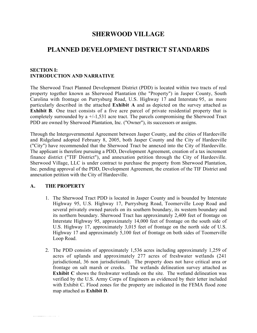### **SHERWOOD VILLAGE**

### **PLANNED DEVELOPMENT DISTRICT STANDARDS**

#### **SECTION I: INTRODUCTION AND NARRATIVE**

The Sherwood Tract Planned Development District (PDD) is located within two tracts of real property together known as Sherwood Plantation (the "Property") in Jasper County, South Carolina with frontage on Purrysburg Road, U.S. Highway 17 and Interstate 95, as more particularly described in the attached **Exhibit A** and as depicted on the survey attached as **Exhibit B**. One tract consists of a five acre parcel of private residential property that is completely surrounded by a +/-1,531 acre tract. The parcels compromising the Sherwood Tract PDD are owned by Sherwood Plantation, Inc. ("Owner"), its successors or assigns.

Through the Intergovernmental Agreement between Jasper County, and the cities of Hardeeville and Ridgeland adopted February 8, 2005, both Jasper County and the City of Hardeeville ("City") have recommended that the Sherwood Tract be annexed into the City of Hardeeville. The applicant is therefore pursuing a PDD, Development Agreement, creation of a tax increment finance district ("TIF District"), and annexation petition through the City of Hardeeville. Sherwood Village, LLC is under contract to purchase the property from Sherwood Plantation, Inc. pending approval of the PDD, Development Agreement, the creation of the TIF District and annexation petition with the City of Hardeeville.

#### **A. THE PROPERTY**

BLUFFTON-#431613-v6

- 1. The Sherwood Tract PDD is located in Jasper County and is bounded by Interstate Highway 95, U.S. Highway 17, Purrysburg Road, Toomerville Loop Road and several privately owned parcels on its southern boundary, its western boundary and its northern boundary. Sherwood Tract has approximately 2,400 feet of frontage on Interstate Highway 95, approximately 14,000 feet of frontage on the south side of U.S. Highway 17, approximately 3,015 feet of frontage on the north side of U.S. Highway 17 and approximately 5,100 feet of frontage on both sides of Toomerville Loop Road.
- 2. The PDD consists of approximately 1,536 acres including approximately 1,259 of acres of uplands and approximately 277 acres of freshwater wetlands (241 jurisdictional, 36 non jurisdictional). The property does not have critical area or frontage on salt marsh or creeks. The wetlands delineation survey attached as **Exhibit C** shows the freshwater wetlands on the site. The wetland delineation was verified by the U.S. Army Corps of Engineers as evidenced by their letter included with Exhibit C. Flood zones for the property are indicated in the FEMA flood zone map attached as **Exhibit D**.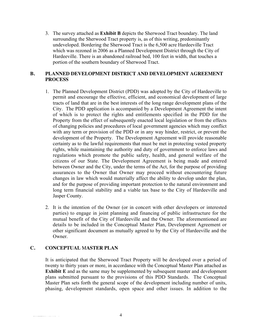3. The survey attached as **Exhibit B** depicts the Sherwood Tract boundary. The land surrounding the Sherwood Tract property is, as of this writing, predominantly undeveloped. Bordering the Sherwood Tract is the 6,500 acre Hardeeville Tract which was rezoned in 2006 as a Planned Development District through the City of Hardeeville. There is an abandoned railroad bed, 100 feet in width, that touches a portion of the southern boundary of Sherwood Tract.

#### **B. PLANNED DEVELOPMENT DISTRICT AND DEVELOPMENT AGREEMENT PROCESS**

- 1. The Planned Development District (PDD) was adopted by the City of Hardeeville to permit and encourage the effective, efficient, and economical development of large tracts of land that are in the best interests of the long range development plans of the City. The PDD application is accompanied by a Development Agreement the intent of which is to protect the rights and entitlements specified in the PDD for the Property from the effect of subsequently enacted local legislation or from the effects of changing policies and procedures of local government agencies which may conflict with any term or provision of the PDD or in any way hinder, restrict, or prevent the development of the Property. The Development Agreement will provide reasonable certainty as to the lawful requirements that must be met in protecting vested property rights, while maintaining the authority and duty of government to enforce laws and regulations which promote the public safety, health, and general welfare of the citizens of our State. The Development Agreement is being made and entered between Owner and the City, under the terms of the Act, for the purpose of providing assurances to the Owner that Owner may proceed without encountering future changes in law which would materially affect the ability to develop under the plan, and for the purpose of providing important protection to the natural environment and long term financial stability and a viable tax base to the City of Hardeeville and Jasper County.
- 2. It is the intention of the Owner (or in concert with other developers or interested parties) to engage in joint planning and financing of public infrastructure for the mutual benefit of the City of Hardeeville and the Owner. The aforementioned are details to be included in the Conceptual Master Plan, Development Agreement or other significant document as mutually agreed to by the City of Hardeeville and the Owner.

#### **C. CONCEPTUAL** M**ASTER PLAN**

It is anticipated that the Sherwood Tract Property will be developed over a period of twenty to thirty years or more, in accordance with the Conceptual Master Plan attached as **Exhibit E** and as the same may be supplemented by subsequent master and development plans submitted pursuant to the provisions of this PDD Standards. The Conceptual Master Plan sets forth the general scope of the development including number of units, phasing, development standards, open space and other issues. In addition to the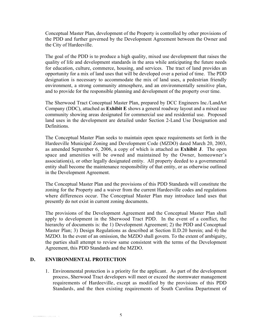Conceptual Master Plan, development of the Property is controlled by other provisions of the PDD and further governed by the Development Agreement between the Owner and the City of Hardeeville.

The goal of the PDD is to produce a high quality, mixed use development that raises the quality of life and development standards in the area while anticipating the future needs for education, culture, commerce, housing, and services. The tract of land provides an opportunity for a mix of land uses that will be developed over a period of time. The PDD designation is necessary to accommodate the mix of land uses, a pedestrian friendly environment, a strong community atmosphere, and an environmentally sensitive plan, and to provide for the responsible planning and development of the property over time.

The Sherwood Tract Conceptual Master Plan, prepared by DCC Engineers Inc./LandArt Company (DDC), attached as **Exhibit E** shows a general roadway layout and a mixed use community showing areas designated for commercial use and residential use. Proposed land uses in the development are detailed under Section 2-Land Use Designation and Definitions.

The Conceptual Master Plan seeks to maintain open space requirements set forth in the Hardeeville Municipal Zoning and Development Code (MZDO) dated March 20, 2003, as amended September 6, 2006, a copy of which is attached as **Exhibit J**. The open space and amenities will be owned and maintained by the Owner, homeowner's association(s), or other legally designated entity. All property deeded to a governmental entity shall become the maintenance responsibility of that entity, or as otherwise outlined in the Development Agreement.

The Conceptual Master Plan and the provisions of this PDD Standards will constitute the zoning for the Property and a waiver from the current Hardeeville codes and regulations where differences occur. The Conceptual Master Plan may introduce land uses that presently do not exist in current zoning documents.

The provisions of the Development Agreement and the Conceptual Master Plan shall apply to development in the Sherwood Tract PDD. In the event of a conflict, the hierarchy of documents is: the 1) Development Agreement; 2) the PDD and Conceptual Master Plan; 3) Design Regulations as described at Section II.D.20 herein; and 4) the MZDO. In the event of an omission, the MZDO shall govern. To the extent of ambiguity, the parties shall attempt to review same consistent with the terms of the Development Agreement, this PDD Standards and the MZDO.

#### **D. ENVIRONMENTAL PROTECTION**

1. Environmental protection is a priority for the applicant. As part of the development process, Sherwood Tract developers will meet or exceed the stormwater management requirements of Hardeeville, except as modified by the provisions of this PDD Standards, and the then existing requirements of South Carolina Department of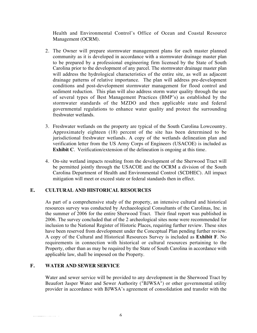Health and Environmental Control's Office of Ocean and Coastal Resource Management (OCRM).

- 2. The Owner will prepare stormwater management plans for each master planned community as it is developed in accordance with a stormwater drainage master plan to be prepared by a professional engineering firm licensed by the State of South Carolina prior to the development of any parcel. The stormwater drainage master plan will address the hydrological characteristics of the entire site, as well as adjacent drainage patterns of relative importance. The plan will address pre-development conditions and post-development stormwater management for flood control and sediment reduction. This plan will also address storm water quality through the use of several types of Best Management Practices (BMP's) as established by the stormwater standards of the MZDO and then applicable state and federal governmental regulations to enhance water quality and protect the surrounding freshwater wetlands.
- 3. Freshwater wetlands on the property are typical of the South Carolina Lowcountry. Approximately eighteen (18) percent of the site has been determined to be jurisdictional freshwater wetlands. A copy of the wetlands delineation plan and verification letter from the US Army Corps of Engineers (USACOE) is included as **Exhibit C**. Verification/extension of the delineation is ongoing at this time.
- 4. On-site wetland impacts resulting from the development of the Sherwood Tract will be permitted jointly through the USACOE and the OCRM a division of the South Carolina Department of Health and Environmental Control (SCDHEC). All impact mitigation will meet or exceed state or federal standards then in effect.

### **E. CULTURAL AND HISTORICAL RESOURCES**

As part of a comprehensive study of the property, an intensive cultural and historical resources survey was conducted by Archaeological Consultants of the Carolinas, Inc. in the summer of 2006 for the entire Sherwood Tract. Their final report was published in 2006. The survey concluded that of the 2 archeological sites none were recommended for inclusion to the National Register of Historic Places, requiring further review. These sites have been reserved from development under the Conceptual Plan pending further review. A copy of the Cultural and Historical Resources Survey is included as **Exhibit F**. No requirements in connection with historical or cultural resources pertaining to the Property, other than as may be required by the State of South Carolina in accordance with applicable law, shall be imposed on the Property.

#### **F. WATER AND SEWER SERVICE**

Water and sewer service will be provided to any development in the Sherwood Tract by Beaufort Jasper Water and Sewer Authority ("BJWSA") or other governmental utility provider in accordance with BJWSA's agreement of consolidation and transfer with the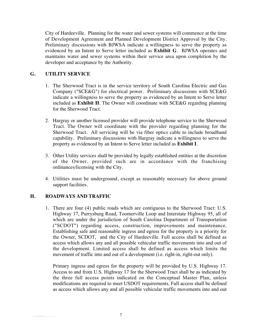City of Hardeeville. Planning for the water and sewer systems will commence at the time of Development Agreement and Planned Development District Approval by the City. Preliminary discussions with BJWSA indicate a willingness to serve the property as evidenced by an Intent to Serve letter included as **Exhibit G**. BJWSA operates and maintains water and sewer systems within their service area upon completion by the developer and acceptance by the Authority.

#### **G. UTILITY SERVICE**

- 1. The Sherwood Tract is in the service territory of South Carolina Electric and Gas Company ("SCE&G") for electrical power. Preliminary discussions with SCE&G indicate a willingness to serve the property as evidenced by an Intent to Serve letter included as **Exhibit H**. The Owner will coordinate with SCE&G regarding planning for the Sherwood Tract.
- 2. Hargray or another licensed provider will provide telephone service to the Sherwood Tract. The Owner will coordinate with the provider regarding planning for the Sherwood Tract. All servicing will be via fiber optics cable to include broadband capability. Preliminary discussions with Hargray indicate a willingness to serve the property as evidenced by an Intent to Serve letter included as **Exhibit I**.
- 3. Other Utility services shall be provided by legally established entities at the discretion of the Owner, provided such are in accordance with the franchising ordinances/licensing with the City.
- 4. Utilities must be underground, except as reasonably necessary for above ground support facilities.

#### **H. ROADWAYS AND TRAFFIC**

1. There are four (4) public roads which are contiguous to the Sherwood Tract: U.S. Highway 17, Purrysburg Road, Toomerville Loop and Interstate Highway 95, all of which are under the jurisdiction of South Carolina Department of Transportation ("SCDOT") regarding access, construction, improvements and maintenance. Establishing safe and reasonable ingress and egress for the property is a priority for the Owner, SCDOT, and the City of Hardeeville. Full access shall be defined as access which allows any and all possible vehicular traffic movements into and out of the development. Limited access shall be defined as access which limits the movement of traffic into and out of a development (i.e. right-in, right-out only).

Primary ingress and egress for the property will be provided by U.S. Highway 17. Access to and from U.S. Highway 17 for the Sherwood Tract shall be as indicated by the three full access points indicated on the Conceptual Master Plan, unless modifications are required to meet USDOT requirements. Full access shall be defined as access which allows any and all possible vehicular traffic movements into and out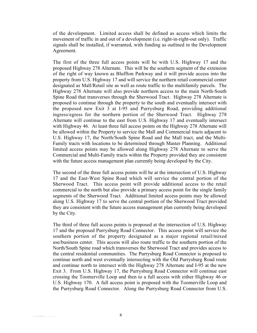of the development. Limited access shall be defined as access which limits the movement of traffic in and out of a development (i.e. right-in-right-out only). Traffic signals shall be installed, if warranted, with funding as outlined in the Development Agreement.

The first of the three full access points will be with U.S. Highway 17 and the proposed Highway 278 Alternate. This will be the southern segment of the extension of the right of way known as Bluffton Parkway and it will provide access into the property from U.S. Highway 17 and will service the northern retail commercial center designated as Mall/Retail site as well as route traffic to the multifamily parcels. The Highway 278 Alternate will also provide northern access to the main North-South Spine Road that transverses through the Sherwood Tract. Highway 278 Alternate is proposed to continue through the property to the south and eventually intersect with the proposed new Exit 3 at I-95 and Purrysburg Road, providing additional ingress/egress for the northern portion of the Sherwood Tract. Highway 278 Alternate will continue to the east from U.S. Highway 17 and eventually intersect with Highway 46. At least three full access points on the Highway 278 Alternate will be allowed within the Property to service the Mall and Commercial tracts adjacent to U.S. Highway 17, the North/South Spine Road and the Mall tract, and the Multi-Family tracts with locations to be determined through Master Planning. Additional limited access points may be allowed along Highway 278 Alternate to serve the Commercial and Multi-Family tracts within the Property provided they are consistent with the future access management plan currently being developed by the City.

The second of the three full access points will be at the intersection of U.S. Highway 17 and the East-West Spine Road which will service the central portion of the Sherwood Tract. This access point will provide additional access to the retail commercial to the north but also provide a primary access point for the single family segments of the Sherwood Tract. Additional limited access points may be allowed along U.S. Highway 17 to serve the central portion of the Sherwood Tract provided they are consistent with the future access management plan currently being developed by the City.

The third of three full access points is proposed at the intersection of U.S. Highway 17 and the proposed Purrysburg Road Connector. This access point will service the southern portion of the property designated as a major regional retail/mixed use/business center. This access will also route traffic to the southern portion of the North/South Spine road which transverses the Sherwood Tract and provides access to the central residential communities. The Purrysburg Road Connector is proposed to continue north and west eventually intersecting with the Old Purrysburg Road route and continue north to intersect with the Highway 278 Alternate and I-95 at the new Exit 3. From U.S. Highway 17, the Purrysburg Road Connector will continue east crossing the Toomerville Loop and then to a full access with either Highway 46 or U.S. Highway 170. A full access point is proposed with the Toomerville Loop and the Purrysburg Road Connector. Along the Purrysburg Road Connector from U.S.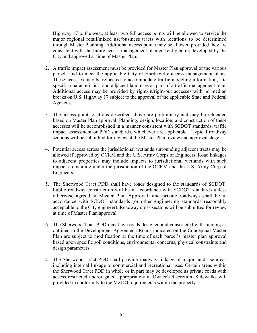Highway 17 to the west, at least two full access points will be allowed to service the major regional retail/mixed use/business tracts with locations to be determined through Master Planning. Additional access points may be allowed provided they are consistent with the future access management plan currently being developed by the City and approved at time of Master Plan.

- 2. A traffic impact assessment must be provided for Master Plan approval of the various parcels and to meet the applicable City of Hardeeville access management plans. These accesses may be relocated to accommodate traffic modeling information, site specific characteristics, and adjacent land uses as part of a traffic management plan. Additional access may be provided by right-in/right-out accesses with no median breaks on U.S. Highway 17 subject to the approval of the applicable State and Federal Agencies.
- 3. The access point locations described above are preliminary and may be relocated based on Master Plan approval. Planning, design, location, and construction of these accesses will be accomplished in a manner consistent with SCDOT standards, traffic impact assessment or PDD standards, whichever are applicable. Typical roadway sections will be submitted for review at the Master Plan review and approval stage.
- 4. Potential access across the jurisdictional wetlands surrounding adjacent tracts may be allowed if approved by OCRM and the U.S. Army Corps of Engineers. Road linkages to adjacent properties may include impacts to jurisdictional wetlands with such impacts remaining under the jurisdiction of the OCRM and the U.S. Army Corp of Engineers.
- 5. The Sherwood Tract PDD shall have roads designed to the standards of SCDOT. Public roadway construction will be in accordance with SCDOT standards unless otherwise agreed at Master Plan Approval, and private roadways shall be in accordance with SCDOT standards (or other engineering standards reasonably acceptable to the City engineer). Roadway cross sections will be submitted for review at time of Master Plan approval.
- 6. The Sherwood Tract PDD may have roads designed and constructed with funding as outlined in the Development Agreement. Roads indicated on the Conceptual Master Plan are subject to modification at the time of each parcel's master plan approval based upon specific soil conditions, environmental concerns, physical constraints and design parameters.
- 7. The Sherwood Tract PDD shall provide roadway linkage of major land use areas including internal linkage to commercial and recreational uses. Certain areas within the Sherwood Tract PDD in whole or in part may be developed as private roads with access restricted and/or gated appropriately at Owner's discretion. Sidewalks will provided in conformity to the MZDO requirements within the property.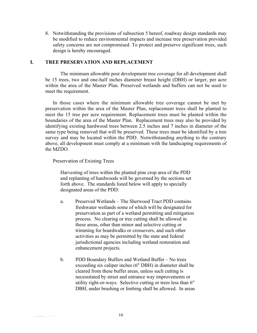8. Notwithstanding the provisions of subsection 5 hereof, roadway design standards may be modified to reduce environmental impacts and increase tree preservation provided safety concerns are not compromised. To protect and preserve significant trees, such design is hereby encouraged.

#### **I. TREE PRESERVATION AND REPLACEMENT**

The minimum allowable post development tree coverage for all development shall be 15 trees, two and one-half inches diameter breast height (DBH) or larger, per acre within the area of the Master Plan. Preserved wetlands and buffers can not be used to meet the requirement.

In those cases where the minimum allowable tree coverage cannot be met by preservation within the area of the Master Plan, replacement trees shall be planted to meet the 15 tree per acre requirement. Replacement trees must be planted within the boundaries of the area of the Master Plan. Replacement trees may also be provided by identifying existing hardwood trees between 2.5 inches and 7 inches in diameter of the same type being removed that will be preserved. These trees must be identified by a tree survey and may be located within the PDD.Notwithstanding anything to the contrary above, all development must comply at a minimum with the landscaping requirements of the MZDO.

Preservation of Existing Trees

Harvesting of trees within the planted pine crop area of the PDD and replanting of hardwoods will be governed by the sections set forth above. The standards listed below will apply to specially designated areas of the PDD:

- a. Preserved Wetlands The Sherwood Tract PDD contains freshwater wetlands some of which will be designated for preservation as part of a wetland permitting and mitigation process. No clearing or tree cutting shall be allowed in these areas, other than minor and selective cutting or trimming for boardwalks or crossovers, and such other activities as may be permitted by the state and federal jurisdictional agencies including wetland restoration and enhancement projects.
- b. PDD Boundary Buffers and Wetland Buffer No trees exceeding six caliper inches (6" DBH) in diameter shall be cleared from these buffer areas, unless such cutting is necessitated by street and entrance way improvements or utility right-or-ways. Selective cutting or trees less than 6" DBH, under brushing or limbing shall be allowed. In areas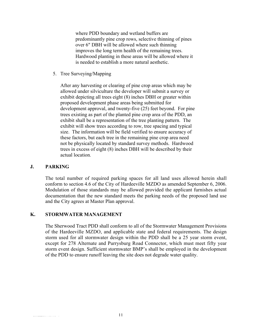where PDD boundary and wetland buffers are predominantly pine crop rows, selective thinning of pines over 6" DBH will be allowed where such thinning improves the long term health of the remaining trees. Hardwood planting in these areas will be allowed where it is needed to establish a more natural aesthetic.

5. Tree Surveying/Mapping

After any harvesting or clearing of pine crop areas which may be allowed under silviculture the developer will submit a survey or exhibit depicting all trees eight (8) inches DBH or greater within proposed development phase areas being submitted for development approval, and twenty-five (25) feet beyond. For pine trees existing as part of the planted pine crop area of the PDD, an exhibit shall be a representation of the tree planting pattern. The exhibit will show trees according to row, tree spacing and typical size. The information will be field verified to ensure accuracy of these factors, but each tree in the remaining pine crop area need not be physically located by standard survey methods. Hardwood trees in excess of eight (8) inches DBH will be described by their actual location.

#### **J. PARKING**

The total number of required parking spaces for all land uses allowed herein shall conform to section 4.6 of the City of Hardeeville MZDO as amended September 6, 2006. Modulation of those standards may be allowed provided the applicant furnishes actual documentation that the new standard meets the parking needs of the proposed land use and the City agrees at Master Plan approval.

#### **K. STORMWATER MANAGEMENT**

The Sherwood Tract PDD shall conform to all of the Stormwater Management Provisions of the Hardeeville MZDO, and applicable state and federal requirements. The design storm used for all stormwater design within the PDD shall be a 25 year storm event, except for 278 Alternate and Purrysburg Road Connector, which must meet fifty year storm event design. Sufficient stormwater BMP's shall be employed in the development of the PDD to ensure runoff leaving the site does not degrade water quality.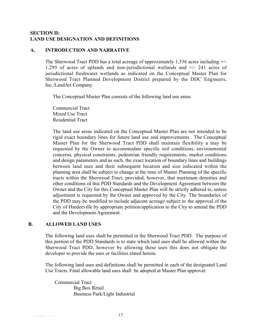#### **SECTION II: LAND USE DESIGNATION AND DEFINITIONS**

#### **A. INTRODUCTION AND NARRATIVE**

The Sherwood Tract PDD has a total acreage of approximately 1,536 acres including +/- 1,295 of acres of uplands and non-jurisdictional wetlands and +/- 241 acres of jurisdictional freshwater wetlands as indicated on the Conceptual Master Plan for Sherwood Tract Planned Development District prepared by the DDC Engineers, Inc./LandArt Company.

The Conceptual Master Plan consists of the following land use areas

Commercial Tract Mixed Use Tract Residential Tract

The land use areas indicated on the Conceptual Master Plan are not intended to be rigid exact boundary lines for future land use and improvements. The Conceptual Master Plan for the Sherwood Tract PDD shall maintain flexibility a may be requested by the Owner to accommodate specific soil conditions, environmental concerns, physical constraints, pedestrian friendly requirements, market conditions and design parameters and as such, the exact location of boundary lines and buildings between land uses and their subsequent location and size indicated within the planning area shall be subject to change at the time of Master Planning of the specific tracts within the Sherwood Tract; provided, however, that maximum densities and other conditions of this PDD Standards and the Development Agreement between the Owner and the City for this Conceptual Master Plan will be strictly adhered to, unless adjustment is requested by the Owner and approved by the City. The boundaries of the PDD may be modified to include adjacent acreage subject to the approval of the City of Hardeeville by appropriate petition/application to the City to amend the PDD and the Development Agreement.

#### **B. ALLOWED LAND USES**

The following land uses shall be permitted in the Sherwood Tract PDD. The purpose of this portion of the PDD Standards is to state which land uses shall be allowed within the Sherwood Tract PDD, however by allowing these uses this does not obligate the developer to provide the uses or facilities stated herein.

The following land uses and definitions shall be permitted in each of the designated Land Use Tracts. Final allowable land uses shall be adopted at Master Plan approval:

Commercial Tract Big Box Retail Business Park/Light Industrial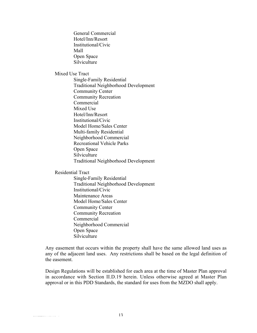General Commercial Hotel/Inn/Resort Institutional/Civic Mall Open Space **Silviculture** 

Mixed Use Tract

Single-Family Residential Traditional Neighborhood Development Community Center Community Recreation Commercial Mixed Use Hotel/Inn/Resort Institutional/Civic Model Home/Sales Center Multi-family Residential Neighborhood Commercial Recreational Vehicle Parks Open Space Silviculture Traditional Neighborhood Development

Residential Tract

Single-Family Residential Traditional Neighborhood Development Institutional/Civic Maintenance Areas Model Home/Sales Center Community Center Community Recreation Commercial Neighborhood Commercial Open Space Silviculture

Any easement that occurs within the property shall have the same allowed land uses as any of the adjacent land uses. Any restrictions shall be based on the legal definition of the easement.

Design Regulations will be established for each area at the time of Master Plan approval in accordance with Section II.D.19 herein. Unless otherwise agreed at Master Plan approval or in this PDD Standards, the standard for uses from the MZDO shall apply.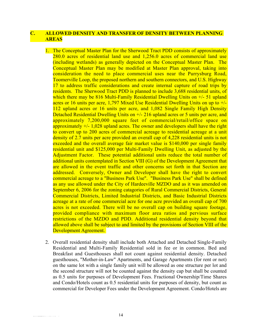#### **C. ALLOWED DENSITY AND TRANSFER OF DENSITY BETWEEN PLANNING AREAS**

- 1. The Conceptual Master Plan for the Sherwood Tract PDD consists of approximately 280.0 acres of residential land use and 1,256.0 acres of commercial land use (including wetlands) as generally depicted on the Conceptual Master Plan. The Conceptual Master Plan may be modified at Master Plan approval, taking into consideration the need to place commercial uses near the Purrysburg Road, Toomerville Loop, the proposed northern and southern connectors, and U.S. Highway 17 to address traffic considerations and create internal capture of road trips by residents. The Sherwood Tract PDD is planned to include 3,688 residential units, of which there may be 816 Multi-Family Residential Dwelling Units on  $+/-$  51 upland acres or 16 units per acre, 1,797 Mixed Use Residential Dwelling Units on up to +/- 112 upland acres or 16 units per acre, and 1,082 Single Family High Density Detached Residential Dwelling Units on  $\frac{+}{216}$  upland acres or 5 units per acre, and approximately 7,200,000 square feet of commercial/retail/office space on approximately  $\pm$ /- 1,028 upland acres. The owner and developers shall have the right to convert up to 200 acres of commercial acreage to residential acreage at a unit density of 2.7 units per acre provided an overall cap of 4,228 residential units is not exceeded and the overall average fair market value is \$140,000 per single family residential unit and \$125,000 per Multi-Family Dwelling Unit, as adjusted by the Adjustment Factor. These potential additional units reduce the total number of additional units contemplated in Section VIII (G) of the Development Agreement that are allowed in the event traffic and other concerns set forth in that Section are addressed. Conversely, Owner and Developer shall have the right to convert commercial acreage to a "Business Park Use". "Business Park Use" shall be defined as any use allowed under the City of Hardeeville MZDO and as it was amended on September 6, 2006 for the zoning catagories of Rural Commercial Districts, General Commercial Districts, Limited Industrial Districts, and Basic Industrial Districts acreage at a rate of one commercial acre for one acre provided an overall cap of 700 acres is not exceeded. There will be no overall cap on building square footage, provided compliance with maximum floor area ratios and pervious surface restrictions of the MZDO and PDD. Additional residential density beyond that allowed above shall be subject to and limited by the provisions of Section VIII of the Development Agreement.
- 2. Overall residential density shall include both Attached and Detached Single-Family Residential and Multi-Family Residential sold in fee or in common. Bed and Breakfast and Guesthouses shall not count against residential density. Detached guesthouses, "Mother-in-Law" Apartments, and Garage Apartments (for rent or not) on the same lot with a single family unit will be allowed as one structure per lot and the second structure will not be counted against the density cap but shall be counted as 0.5 units for purposes of Development Fees. Fractional Ownership/Time Shares and Condo/Hotels count as 0.5 residential units for purposes of density, but count as commercial for Developer Fees under the Development Agreement. Condo/Hotels are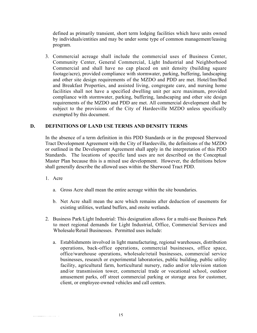defined as primarily transient, short term lodging facilities which have units owned by individuals/entities and may be under some type of common management/leasing program.

3. Commercial acreage shall include the commercial uses of Business Center, Community Center, General Commercial, Light Industrial and Neighborhood Commercial and shall have no cap placed on unit density (building square footage/acre), provided compliance with stormwater, parking, buffering, landscaping and other site design requirements of the MZDO and PDD are met. Hotel/Inn/Bed and Breakfast Properties, and assisted living, congregate care, and nursing home facilities shall not have a specified dwelling unit per acre maximum, provided compliance with stormwater, parking, buffering, landscaping and other site design requirements of the MZDO and PDD are met. All commercial development shall be subject to the provisions of the City of Hardeeville MZDO unless specifically exempted by this document.

#### **D. DEFINITIONS OF LAND USE TERMS AND DENSITY TERMS**

In the absence of a term definition in this PDD Standards or in the proposed Sherwood Tract Development Agreement with the City of Hardeeville, the definitions of the MZDO or outlined in the Development Agreement shall apply in the interpretation of this PDD Standards. The locations of specific land uses are not described on the Conceptual Master Plan because this is a mixed use development. However, the definitions below shall generally describe the allowed uses within the Sherwood Tract PDD.

- 1. Acre
	- a. Gross Acre shall mean the entire acreage within the site boundaries.
	- b. Net Acre shall mean the acre which remains after deduction of easements for existing utilities, wetland buffers, and onsite wetlands.
- 2. Business Park/Light Industrial: This designation allows for a multi-use Business Park to meet regional demands for Light Industrial, Office, Commercial Services and Wholesale/Retail Businesses. Permitted uses include:
	- a. Establishments involved in light manufacturing, regional warehouses, distribution operations, back-office operations, commercial businesses, office space, office/warehouse operations, wholesale/retail businesses, commercial service businesses, research or experimental laboratories, public building, public utility facility, agricultural farm, horticultural nursery, radio and/or television station and/or transmission tower, commercial trade or vocational school, outdoor amusement parks, off street commercial parking or storage area for customer, client, or employee-owned vehicles and call centers.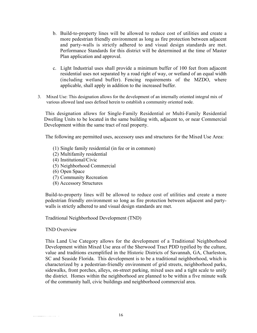- b. Build-to-property lines will be allowed to reduce cost of utilities and create a more pedestrian friendly environment as long as fire protection between adjacent and party-walls is strictly adhered to and visual design standards are met. Performance Standards for this district will be determined at the time of Master Plan application and approval.
- c. Light Industrial uses shall provide a minimum buffer of 100 feet from adjacent residential uses not separated by a road right of way, or wetland of an equal width (including wetland buffer). Fencing requirements of the MZDO, where applicable, shall apply in addition to the increased buffer.
- 3. Mixed Use: This designation allows for the development of an internally oriented integral mix of various allowed land uses defined herein to establish a community oriented node.

This designation allows for Single-Family Residential or Multi-Family Residential Dwelling Units to be located in the same building with, adjacent to, or near Commercial Development within the same tract of real property.

The following are permitted uses, accessory uses and structures for the Mixed Use Area:

- (1) Single family residential (in fee or in common)
- (2) Multifamily residential
- (4) Institutional/Civic
- (5) Neighborhood Commercial
- (6) Open Space
- (7) Community Recreation
- (8) Accessory Structures

Build-to-property lines will be allowed to reduce cost of utilities and create a more pedestrian friendly environment so long as fire protection between adjacent and partywalls is strictly adhered to and visual design standards are met.

Traditional Neighborhood Development (TND)

#### TND Overview

This Land Use Category allows for the development of a Traditional Neighborhood Development within Mixed Use area of the Sherwood Tract PDD typified by the culture, value and traditions exemplified in the Historic Districts of Savannah, GA, Charleston, SC and Seaside Florida. This development is to be a traditional neighborhood, which is characterized by a pedestrian-friendly environment of grid streets, neighborhood parks, sidewalks, front porches, alleys, on-street parking, mixed uses and a tight scale to unify the district. Homes within the neighborhood are planned to be within a five minute walk of the community hall, civic buildings and neighborhood commercial area.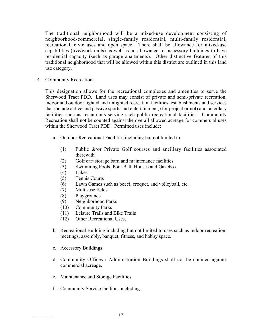The traditional neighborhood will be a mixed-use development consisting of neighborhood-commercial, single-family residential, multi-family residential, recreational, civic uses and open space. There shall be allowance for mixed-use capabilities (live/work units) as well as an allowance for accessory buildings to have residential capacity (such as garage apartments). Other distinctive features of this traditional neighborhood that will be allowed within this district are outlined in this land use category.

4. Community Recreation:

This designation allows for the recreational complexes and amenities to serve the Sherwood Tract PDD. Land uses may consist of private and semi-private recreation, indoor and outdoor lighted and unlighted recreation facilities, establishments and services that include active and passive sports and entertainment, (for project or not) and, ancillary facilities such as restaurants serving such public recreational facilities. Community Recreation shall not be counted against the overall allowed acreage for commercial uses within the Sherwood Tract PDD. Permitted uses include:

- a. Outdoor Recreational Facilities including but not limited to:
	- (1) Public &/or Private Golf courses and ancillary facilities associated therewith
	- (2) Golf cart storage barn and maintenance facilities
	- (3) Swimming Pools, Pool Bath Houses and Gazebos.
	- (4) Lakes
	- (5) Tennis Courts
	- (6) Lawn Games such as bocci, croquet, and volleyball, etc.
	- (7) Multi-use fields
	- (8) Playgrounds
	- (9) Neighborhood Parks
	- (10) Community Parks
	- (11) Leisure Trails and Bike Trails
	- (12) Other Recreational Uses.
- b. Recreational Building including but not limited to uses such as indoor recreation, meetings, assembly, banquet, fitness, and hobby space.
- c. Accessory Buildings
- d. Community Offices / Administration Buildings shall not be counted against commercial acreage.
- e. Maintenance and Storage Facilities
- f. Community Service facilities including: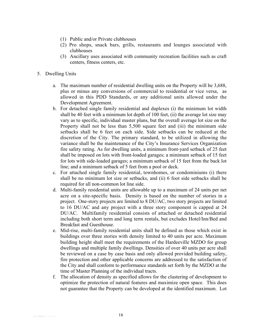- (1) Public and/or Private clubhouses
- (2) Pro shops, snack bars, grills, restaurants and lounges associated with clubhouses
- (3) Ancillary uses associated with community recreation facilities such as craft centers, fitness centers, etc.
- 5. Dwelling Units
	- a. The maximum number of residential dwelling units on the Property will be 3,688, plus or minus any conversions of commercial to residential or vice versa, as allowed in this PDD Standards, or any additional units allowed under the Development Agreement.
	- b. For detached single family residential and duplexes (i) the minimum lot width shall be 40 feet with a minimum lot depth of 100 feet, (ii) the average lot size may vary as to specific, individual master plans, but the overall average lot size on the Property shall not be less than 5,500 square feet and (iii) the minimum side setbacks shall be 6 feet on each side. Side setbacks can be reduced at the discretion of the City. The primary standard, to be utilized in allowing the variance shall be the maintenance of the City's Insurance Services Organization fire safety rating. As for dwelling units, a minimum front-yard setback of 25 feet shall be imposed on lots with front-loaded garages; a minimum setback of 15 feet for lots with side-loaded garages; a minimum setback of 15 feet from the back lot line; and a minimum setback of 5 feet from a pool or deck.
	- c. For attached single family residential, townhomes, or condominiums (i) there shall be no minimum lot size or setbacks, and (ii) 6 foot side setbacks shall be required for all non-common lot line side.
	- d. Multi-family residential units are allowable up to a maximum of 24 units per net acre on a site-specific basis. Density is based on the number of stories in a project. One-story projects are limited to 8 DU/AC, two story projects are limited to 16 DU/AC and any project with a three story component is capped at 24 DU/AC. Multifamily residential consists of attached or detached residential including both short term and long term rentals, but excludes Hotel/Inn/Bed and Breakfast and Guesthouse.
	- e. Mid-rise, multi-family residential units shall be defined as those which exist in buildings over three stories with density limited to 40 units per acre. Maximum building height shall meet the requirements of the Hardeeville MZDO for group dwellings and multiple family dwellings. Densities of over 40 units per acre shall be reviewed on a case by case basis and only allowed provided building safety, fire protection and other applicable concerns are addressed to the satisfaction of the City and shall conform to performance standards set forth by the MZDO at the time of Master Planning of the individual tracts.
	- f. The allocation of density as specified allows for the clustering of development to optimize the protection of natural features and maximize open space. This does not guarantee that the Property can be developed at the identified maximum. Lot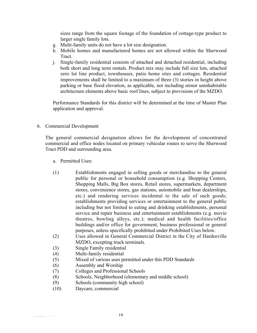sizes range from the square footage of the foundation of cottage-type product to larger single family lots.

- g. Multi-family units do not have a lot size designation.
- h. Mobile homes and manufactured homes are not allowed within the Sherwood **Tract.**
- j. Single-family residential consists of attached and detached residential, including both short and long term rentals. Product mix may include full size lots, attached zero lot line product, townhouses, patio home sites and cottages. Residential improvements shall be limited to a maximum of three (3) stories in height above parking or base flood elevation, as applicable, not including minor uninhabitable architecture elements above basic roof lines, subject to provisions of the MZDO.

Performance Standards for this district will be determined at the time of Master Plan application and approval.

6. Commercial Development

The general commercial designation allows for the development of concentrated commercial and office nodes located on primary vehicular routes to serve the Sherwood Tract PDD and surrounding area.

- a. Permitted Uses:
- (1) Establishments engaged in selling goods or merchandise to the general public for personal or household consumption (e.g. Shopping Centers, Shopping Malls, Big Box stores, Retail stores, supermarkets, department stores, convenience stores, gas stations, automobile and boat dealerships, etc.) and rendering services incidental to the sale of such goods; establishments providing services or entertainment to the general public including but not limited to eating and drinking establishments, personal service and repair business and entertainment establishments (e.g. movie theatres, bowling alleys, etc.); medical and health facilities/office buildings and/or office for government, business professional or general purposes, unless specifically prohibited under Prohibited Uses below.
- (2) Uses allowed in General Commercial District in the City of Hardeeville MZDO, excepting truck terminals.
- (3) Single Family residential
- (4) Multi-family residential
- (5) Mixed of various uses permitted under this PDD Standards
- (6) Assembly and Worship
- (7) Colleges and Professional Schools
- (8) Schools, Neighborhood (elementary and middle school)
- (9) Schools (community high school)
- (10) Daycare, commercial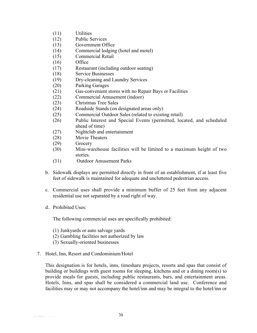- (11) Utilities
- (12) Public Services
- (13) Government Office
- (14) Commercial lodging (hotel and motel)
- (15) Commercial Retail
- (16) Office
- (17) Restaurant (including outdoor seating)
- (18) Service Businesses
- (19) Dry-cleaning and Laundry Services
- (20) Parking Garages
- (21) Gas-convenient stores with no Repair Bays or Facilities
- (22) Commercial Amusement (indoor)
- (23) Christmas Tree Sales
- (24) Roadside Stands (on designated areas only)
- (25) Commercial Outdoor Sales (related to existing retail)
- (26) Public Interest and Special Events (permitted, located, and scheduled ahead of time)
- (27) Nightclub and entertainment
- (28) Movie Theaters
- (29) Grocery
- (30) Mini-warehouse facilities will be limited to a maximum height of two stories.
- (31) Outdoor Amusement Parks
- b. Sidewalk displays are permitted directly in front of an establishment, if at least five feet of sidewalk is maintained for adequate and uncluttered pedestrian access.
- c. Commercial uses shall provide a minimum buffer of 25 feet from any adjacent residential use not separated by a road right of way.
- d.. Prohibited Uses:

The following commercial uses are specifically prohibited:

- (1) Junkyards or auto salvage yards
- (2) Gambling facilities not authorized by law
- (3) Sexually-oriented businesses
- 7. Hotel, Inn, Resort and Condominium/Hotel

This designation is for hotels, inns, timeshare projects, resorts and spas that consist of building or buildings with guest rooms for sleeping, kitchens and or a dining room(s) to provide meals for guests, including public restaurants, bars, and entertainment areas. Hotels, Inns, and spas shall be considered a commercial land use. Conference and facilities may or may not accompany the hotel/inn and may be integral to the hotel/inn or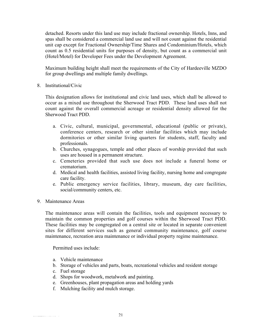detached. Resorts under this land use may include fractional ownership. Hotels, Inns, and spas shall be considered a commercial land use and will not count against the residential unit cap except for Fractional Ownership/Time Shares and Condominium/Hotels, which count as 0.5 residential units for purposes of density, but count as a commercial unit (Hotel/Motel) for Developer Fees under the Development Agreement.

Maximum building height shall meet the requirements of the City of Hardeeville MZDO for group dwellings and multiple family dwellings.

8. Institutional/Civic

This designation allows for institutional and civic land uses, which shall be allowed to occur as a mixed use throughout the Sherwood Tract PDD. These land uses shall not count against the overall commercial acreage or residential density allowed for the Sherwood Tract PDD.

- a. Civic, cultural, municipal, governmental, educational (public or private), conference centers, research or other similar facilities which may include dormitories or other similar living quarters for students, staff, faculty and professionals.
- b. Churches, synagogues, temple and other places of worship provided that such uses are housed in a permanent structure.
- c. Cemeteries provided that such use does not include a funeral home or crematorium.
- d. Medical and health facilities, assisted living facility, nursing home and congregate care facility.
- e. Public emergency service facilities, library, museum, day care facilities, social/community centers, etc.
- 9. Maintenance Areas

The maintenance areas will contain the facilities, tools and equipment necessary to maintain the common properties and golf courses within the Sherwood Tract PDD. These facilities may be congregated on a central site or located in separate convenient sites for different services such as general community maintenance, golf course maintenance, recreation area maintenance or individual property regime maintenance.

Permitted uses include:

- a. Vehicle maintenance
- b. Storage of vehicles and parts, boats, recreational vehicles and resident storage
- c. Fuel storage
- d. Shops for woodwork, metalwork and painting.
- e. Greenhouses, plant propagation areas and holding yards
- f. Mulching facility and mulch storage.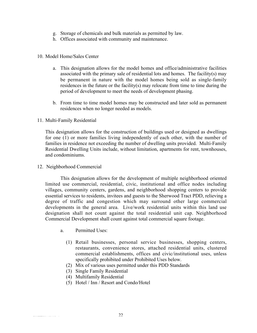- g. Storage of chemicals and bulk materials as permitted by law.
- h. Offices associated with community and maintenance.

#### 10. Model Home/Sales Center

- a. This designation allows for the model homes and office/administrative facilities associated with the primary sale of residential lots and homes. The facility(s) may be permanent in nature with the model homes being sold as single-family residences in the future or the facility(s) may relocate from time to time during the period of development to meet the needs of development phasing.
- b. From time to time model homes may be constructed and later sold as permanent residences when no longer needed as models.
- 11. Multi-Family Residential

This designation allows for the construction of buildings used or designed as dwellings for one (1) or more families living independently of each other, with the number of families in residence not exceeding the number of dwelling units provided. Multi-Family Residential Dwelling Units include, without limitation, apartments for rent, townhouses, and condominiums.

12. Neighborhood Commercial

This designation allows for the development of multiple neighborhood oriented limited use commercial, residential, civic, institutional and office nodes including villages, community centers, gardens, and neighborhood shopping centers to provide essential services to residents, invitees and guests to the Sherwood Tract PDD, relieving a degree of traffic and congestion which may surround other large commercial developments in the general area. Live/work residential units within this land use designation shall not count against the total residential unit cap. Neighborhood Commercial Development shall count against total commercial square footage.

- a. Permitted Uses:
	- (1) Retail businesses, personal service businesses, shopping centers, restaurants, convenience stores, attached residential units, clustered commercial establishments, offices and civic/institutional uses, unless specifically prohibited under Prohibited Uses below.
	- (2) Mix of various uses permitted under this PDD Standards
	- (3) Single Family Residential
	- (4) Multifamily Residential
	- (5) Hotel / Inn / Resort and Condo/Hotel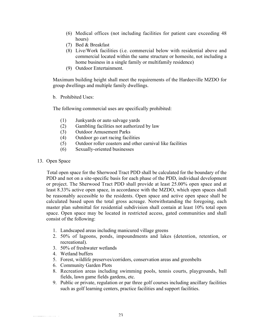- (6) Medical offices (not including facilities for patient care exceeding 48 hours)
- (7) Bed & Breakfast
- (8) Live/Work facilities (i.e. commercial below with residential above and commercial located within the same structure or homesite, not including a home business in a single family or multifamily residence)
- (9) Outdoor Entertainment.

Maximum building height shall meet the requirements of the Hardeeville MZDO for group dwellings and multiple family dwellings.

b. Prohibited Uses:

The following commercial uses are specifically prohibited:

- (1) Junkyards or auto salvage yards
- (2) Gambling facilities not authorized by law
- (3) Outdoor Amusement Parks
- (4) Outdoor go cart racing facilities
- (5) Outdoor roller coasters and other carnival like facilities
- (6) Sexually-oriented businesses
- 13. Open Space

Total open space for the Sherwood Tract PDD shall be calculated for the boundary of the PDD and not on a site-specific basis for each phase of the PDD, individual development or project. The Sherwood Tract PDD shall provide at least 25.00% open space and at least 8.33% active open space, in accordance with the MZDO, which open spaces shall be reasonably accessible to the residents. Open space and active open space shall be calculated based upon the total gross acreage. Notwithstanding the foregoing, each master plan submittal for residential subdivision shall contain at least 10% total open space. Open space may be located in restricted access, gated communities and shall consist of the following:

- 1. Landscaped areas including manicured village greens
- 2. 50% of lagoons, ponds, impoundments and lakes (detention, retention, or recreational).
- 3. 50% of freshwater wetlands
- 4. Wetland buffers
- 5. Forest, wildlife preserves/corridors, conservation areas and greenbelts
- 6. Community Garden Plots
- 8. Recreation areas including swimming pools, tennis courts, playgrounds, ball fields, lawn game fields gardens, etc.
- 9. Public or private, regulation or par three golf courses including ancillary facilities such as golf learning centers, practice facilities and support facilities.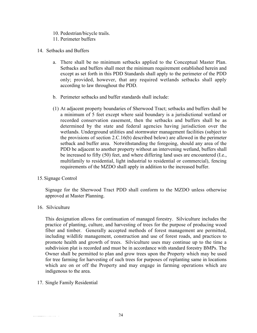- 10. Pedestrian/bicycle trails.
- 11. Perimeter buffers
- 14. Setbacks and Buffers
	- a. There shall be no minimum setbacks applied to the Conceptual Master Plan. Setbacks and buffers shall meet the minimum requirement established herein and except as set forth in this PDD Standards shall apply to the perimeter of the PDD only; provided, however, that any required wetlands setbacks shall apply according to law throughout the PDD.
	- b. Perimeter setbacks and buffer standards shall include:
	- (1) At adjacent property boundaries of Sherwood Tract; setbacks and buffers shall be a minimum of 5 feet except where said boundary is a jurisdictional wetland or recorded conservation easement, then the setbacks and buffers shall be as determined by the state and federal agencies having jurisdiction over the wetlands. Underground utilities and stormwater management facilities (subject to the provisions of section 2.C.16(b) described below) are allowed in the perimeter setback and buffer area. Notwithstanding the foregoing, should any area of the PDD be adjacent to another property without an intervening wetland, buffers shall be increased to fifty (50) feet, and where differing land uses are encountered (I.e., multifamily to residential, light industrial to residential or commercial), fencing requirements of the MZDO shall apply in addition to the increased buffer.
- 15.Signage Control

Signage for the Sherwood Tract PDD shall conform to the MZDO unless otherwise approved at Master Planning.

16. Silviculture

This designation allows for continuation of managed forestry. Silviculture includes the practice of planting, culture, and harvesting of trees for the purpose of producing wood fiber and timber. Generally accepted methods of forest management are permitted, including wildlife management, construction and use of forest roads, and practices to promote health and growth of trees. Silviculture uses may continue up to the time a subdivision plat is recorded and must be in accordance with standard forestry BMPs. The Owner shall be permitted to plan and grow trees upon the Property which may be used for tree farming for harvesting of such trees for purposes of replanting same in locations which are on or off the Property and may engage in farming operations which are indigenous to the area.

17. Single Family Residential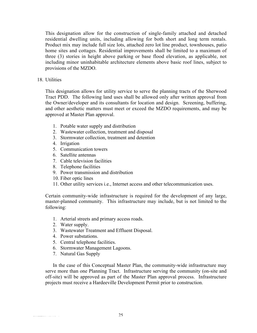This designation allow for the construction of single-family attached and detached residential dwelling units, including allowing for both short and long term rentals. Product mix may include full size lots, attached zero lot line product, townhouses, patio home sites and cottages. Residential improvements shall be limited to a maximum of three (3) stories in height above parking or base flood elevation, as applicable, not including minor uninhabitable architecture elements above basic roof lines, subject to provisions of the MZDO.

#### 18. Utilities

This designation allows for utility service to serve the planning tracts of the Sherwood Tract PDD. The following land uses shall be allowed only after written approval from the Owner/developer and its consultants for location and design. Screening, buffering, and other aesthetic matters must meet or exceed the MZDO requirements, and may be approved at Master Plan approval.

- 1. Potable water supply and distribution
- 2. Wastewater collection, treatment and disposal
- 3. Stormwater collection, treatment and detention
- 4. Irrigation
- 5. Communication towers
- 6. Satellite antennas
- 7. Cable television facilities
- 8. Telephone facilities
- 9. Power transmission and distribution
- 10. Fiber optic lines
- 11. Other utility services i.e., Internet access and other telecommunication uses.

Certain community-wide infrastructure is required for the development of any large, master-planned community. This infrastructure may include, but is not limited to the following:

- 1. Arterial streets and primary access roads.
- 2. Water supply.
- 3. Wastewater Treatment and Effluent Disposal.
- 4. Power substations.
- 5. Central telephone facilities.
- 6. Stormwater Management Lagoons.
- 7. Natural Gas Supply

In the case of this Conceptual Master Plan, the community-wide infrastructure may serve more than one Planning Tract. Infrastructure serving the community (on-site and off-site) will be approved as part of the Master Plan approval process. Infrastructure projects must receive a Hardeeville Development Permit prior to construction.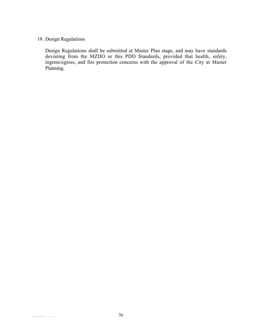#### 19. Design Regulations

Design Regulations shall be submitted at Master Plan stage, and may have standards deviating from the MZDO or this PDD Standards, provided that health, safety, ingress/egress, and fire protection concerns with the approval of the City at Master Planning.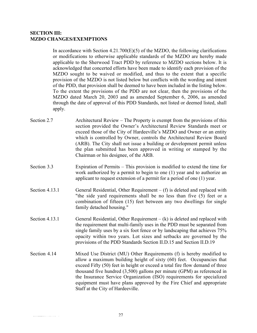#### **SECTION III: MZDO CHANGES/EXEMPTIONS**

In accordance with Section  $4.21.700(E)(5)$  of the MZDO, the following clarifications or modifications to otherwise applicable standards of the MZDO are hereby made applicable to the Sherwood Tract PDD by reference to MZDO sections below. It is acknowledged that concerted efforts have been made to identify each provision of the MZDO sought to be waived or modified, and thus to the extent that a specific provision of the MZDO is not listed below but conflicts with the wording and intent of the PDD, that provision shall be deemed to have been included in the listing below. To the extent the provisions of the PDD are not clear, then the provisions of the MZDO dated March 20, 2003 and as amended September 6, 2006, as amended through the date of approval of this PDD Standards, not listed or deemed listed, shall apply.

- Section 2.7 Architectural Review The Property is exempt from the provisions of this section provided the Owner's Architectural Review Standards meet or exceed those of the City of Hardeeville's MZDO and Owner or an entity which is controlled by Owner, controls the Architectural Review Board (ARB). The City shall not issue a building or development permit unless the plan submitted has been approved in writing or stamped by the Chairman or his designee, of the ARB.
- Section 3.3 Expiration of Permits This provision is modified to extend the time for work authorized by a permit to begin to one (1) year and to authorize an applicant to request extension of a permit for a period of one (1) year.
- Section 4.13.1 General Residential, Other Requirement  $(f)$  is deleted and replaced with "the side yard requirements shall be no less than five (5) feet or a combination of fifteen (15) feet between any two dwellings for single family detached housing."
- Section 4.13.1 General Residential, Other Requirement  $-(k)$  is deleted and replaced with the requirement that multi-family uses in the PDD must be separated from single family uses by a six foot fence or by landscaping that achieves 75% opacity within two years. Lot sizes and setbacks are governed by the provisions of the PDD Standards Section II.D.15 and Section II.D.19
- Section 4.14 Mixed Use District (MU) Other Requirements (f) is hereby modified to allow a maximum building height of sixty (60) feet. Occupancies that exceed Fifty (50) feet in height or exceed a total fire flow demand of three thousand five hundred (3,500) gallons per minute (GPM) as referenced in the Insurance Service Organization (ISO) requirements for specialized equipment must have plans approved by the Fire Chief and appropriate Staff at the City of Hardeeville.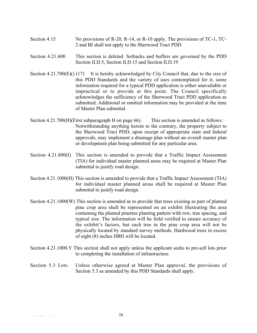- Section 4.15 No provisions of R-20, R-14, or R-10 apply. The provisions of TC-1, TC-2 and BI shall not apply to the Sherwood Tract PDD.
- Section 4.21.600 This section is deleted. Setbacks and buffers are governed by the PDD Section II.D.5, Section II.D.15 and Section II.D.19
- Section 4.21.700 $(E)$ () (17) It is hereby acknowledged by City Council that, due to the size of this PDD Standards and the variety of uses contemplated for it, some information required for a typical PDD application is either unavailable or impractical or to provide at this point. The Council specifically acknowledges the sufficiency of the Sherwood Tract PDD application as submitted. Additional or omitted information may be provided at the time of Master Plan submittal.
- Section 4.21.700(H)(First subparagraph H on page 66). This section is amended as follows: Notwithstanding anything herein to the contrary, the property subject to the Sherwood Tract PDD, upon receipt of appropriate state and federal approvals, may implement a drainage plan without an overall master plan or development plan being submitted for any particular area.
- Section 4.21.800(I) This section is amended to provide that a Traffic Impact Assessment (TIA) for individual master planned areas may be required at Master Plan submittal to justify road design.
- Section 4.21.1000(H) This section is amended to provide that a Traffic Impact Assessment (TIA) for individual master planned areas shall be required at Master Plan submittal to justify road design.
- Section 4.21.1000(W) This section is amended as to provide that trees existing as part of planted pine crop area shall be represented on an exhibit illustrating the area containing the planted pinetree planting pattern with row, tree spacing, and typical size. The information will be field verified to ensure accuracy of the exhibit's factors, but each tree in the pine crop area will not be physically located by standard survey methods. Hardwood trees in excess of eight (8) inches DBH will be located.
- Section 4.21.1000.Y This section shall not apply unless the applicant seeks to pre-sell lots prior to completing the installation of infrastructure.

#### Section 5.3 Lots. Unless otherwise agreed at Master Plan approval, the provisions of Section 5.3 as amended by this PDD Standards shall apply.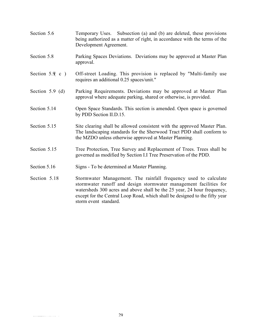- Section 5.6 Temporary Uses. Subsection (a) and (b) are deleted, these provisions being authorized as a matter of right, in accordance with the terms of the Development Agreement.
- Section 5.8 Parking Spaces Deviations. Deviations may be approved at Master Plan approval.
- Section 5.9 c ) Off-street Loading. This provision is replaced by "Multi-family use requires an additional 0.25 spaces/unit."
- Section 5.9 (d) Parking Requirements. Deviations may be approved at Master Plan approval where adequate parking, shared or otherwise, is provided.
- Section 5.14 Open Space Standards. This section is amended. Open space is governed by PDD Section II.D.15.
- Section 5.15 Site clearing shall be allowed consistent with the approved Master Plan. The landscaping standards for the Sherwood Tract PDD shall conform to the MZDO unless otherwise approved at Master Planning.
- Section 5.15 Tree Protection, Tree Survey and Replacement of Trees. Trees shall be governed as modified by Section I.I Tree Preservation of the PDD.
- Section 5.16 Signs To be determined at Master Planning.
- Section 5.18 Stormwater Management. The rainfall frequency used to calculate stormwater runoff and design stormwater management facilities for watersheds 300 acres and above shall be the 25 year, 24 hour frequency, except for the Central Loop Road, which shall be designed to the fifty year storm event standard.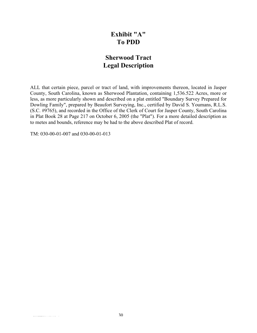### **Exhibit "A" To PDD**

### **Sherwood Tract Legal Description**

ALL that certain piece, parcel or tract of land, with improvements thereon, located in Jasper County, South Carolina, known as Sherwood Plantation, containing 1,536.522 Acres, more or less, as more particularly shown and described on a plat entitled "Boundary Survey Prepared for Dowling Family", prepared by Beaufort Surveying, Inc., certified by David S. Youmans, R.L.S. (S.C. #9765), and recorded in the Office of the Clerk of Court for Jasper County, South Carolina in Plat Book 28 at Page 217 on October 6, 2005 (the "Plat"). For a more detailed description as to metes and bounds, reference may be had to the above described Plat of record.

TM: 030-00-01-007 and 030-00-01-013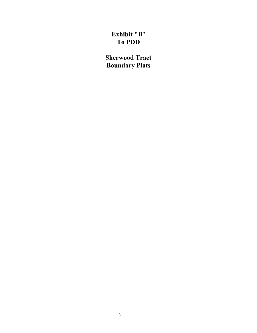# **Exhibit "B**" **To PDD**

**Sherwood Tract Boundary Plats**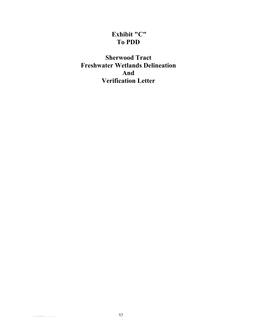## **Exhibit "C" To PDD**

**Sherwood Tract Freshwater Wetlands Delineation And Verification Letter**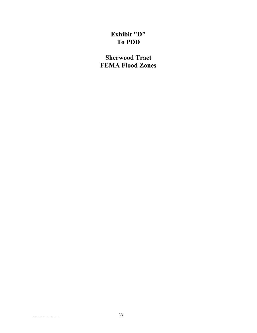# **Exhibit "D" To PDD**

**Sherwood Tract FEMA Flood Zones**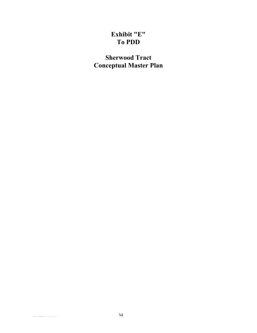# **Exhibit "E" To PDD**

**Sherwood Tract Conceptual Master Plan**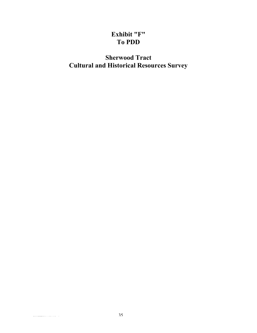# **Exhibit "F" To PDD**

# **Sherwood Tract Cultural and Historical Resources Survey**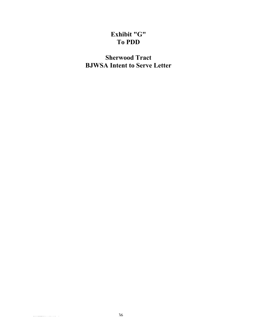## **Exhibit "G" To PDD**

# **Sherwood Tract BJWSA Intent to Serve Letter**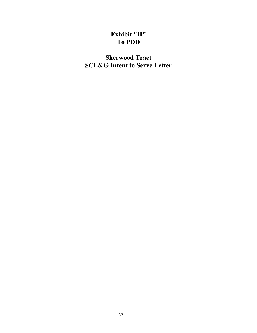## **Exhibit "H" To PDD**

**Sherwood Tract SCE&G Intent to Serve Letter**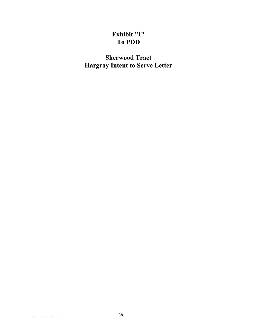# **Exhibit "I" To PDD**

**Sherwood Tract Hargray Intent to Serve Letter**